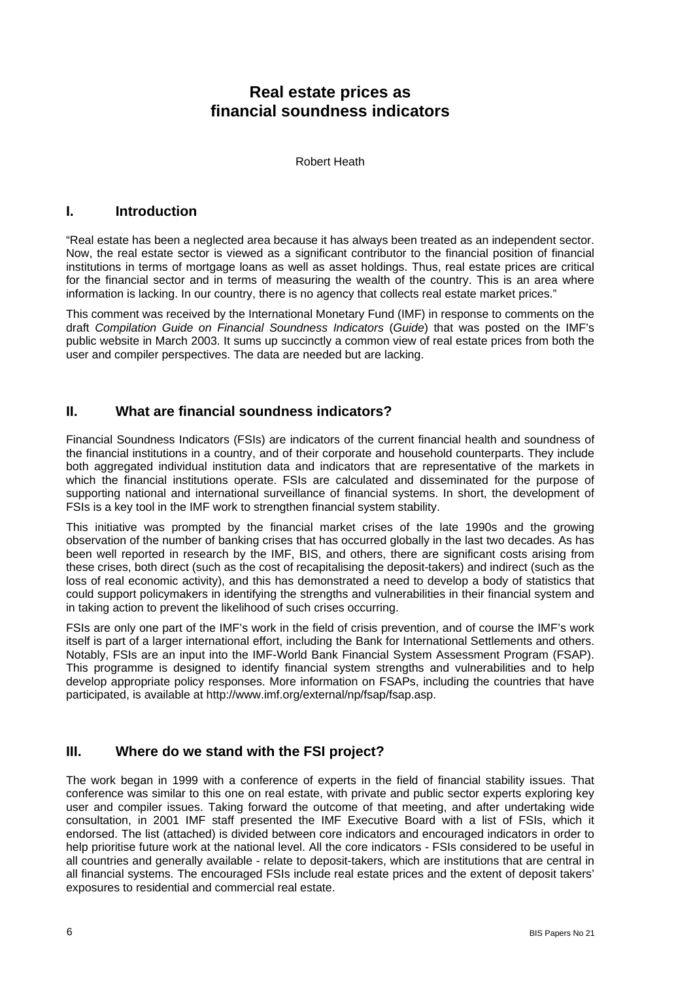# **Real estate prices as financial soundness indicators**

Robert Heath

#### **I. Introduction**

"Real estate has been a neglected area because it has always been treated as an independent sector. Now, the real estate sector is viewed as a significant contributor to the financial position of financial institutions in terms of mortgage loans as well as asset holdings. Thus, real estate prices are critical for the financial sector and in terms of measuring the wealth of the country. This is an area where information is lacking. In our country, there is no agency that collects real estate market prices."

This comment was received by the International Monetary Fund (IMF) in response to comments on the draft *Compilation Guide on Financial Soundness Indicators* (*Guide*) that was posted on the IMF's public website in March 2003. It sums up succinctly a common view of real estate prices from both the user and compiler perspectives. The data are needed but are lacking.

## **II. What are financial soundness indicators?**

Financial Soundness Indicators (FSIs) are indicators of the current financial health and soundness of the financial institutions in a country, and of their corporate and household counterparts. They include both aggregated individual institution data and indicators that are representative of the markets in which the financial institutions operate. FSIs are calculated and disseminated for the purpose of supporting national and international surveillance of financial systems. In short, the development of FSIs is a key tool in the IMF work to strengthen financial system stability.

This initiative was prompted by the financial market crises of the late 1990s and the growing observation of the number of banking crises that has occurred globally in the last two decades. As has been well reported in research by the IMF, BIS, and others, there are significant costs arising from these crises, both direct (such as the cost of recapitalising the deposit-takers) and indirect (such as the loss of real economic activity), and this has demonstrated a need to develop a body of statistics that could support policymakers in identifying the strengths and vulnerabilities in their financial system and in taking action to prevent the likelihood of such crises occurring.

FSIs are only one part of the IMF's work in the field of crisis prevention, and of course the IMF's work itself is part of a larger international effort, including the Bank for International Settlements and others. Notably, FSIs are an input into the IMF-World Bank Financial System Assessment Program (FSAP). This programme is designed to identify financial system strengths and vulnerabilities and to help develop appropriate policy responses. More information on FSAPs, including the countries that have participated, is available at [http://www.imf.org/external/np/fsap/fsap.asp.](http://www.imf.org/external/np/fsap/fsap.asp)

## **III. Where do we stand with the FSI project?**

The work began in 1999 with a conference of experts in the field of financial stability issues. That conference was similar to this one on real estate, with private and public sector experts exploring key user and compiler issues. Taking forward the outcome of that meeting, and after undertaking wide consultation, in 2001 IMF staff presented the IMF Executive Board with a list of FSIs, which it endorsed. The list (attached) is divided between core indicators and encouraged indicators in order to help prioritise future work at the national level. All the core indicators - FSIs considered to be useful in all countries and generally available - relate to deposit-takers, which are institutions that are central in all financial systems. The encouraged FSIs include real estate prices and the extent of deposit takers' exposures to residential and commercial real estate.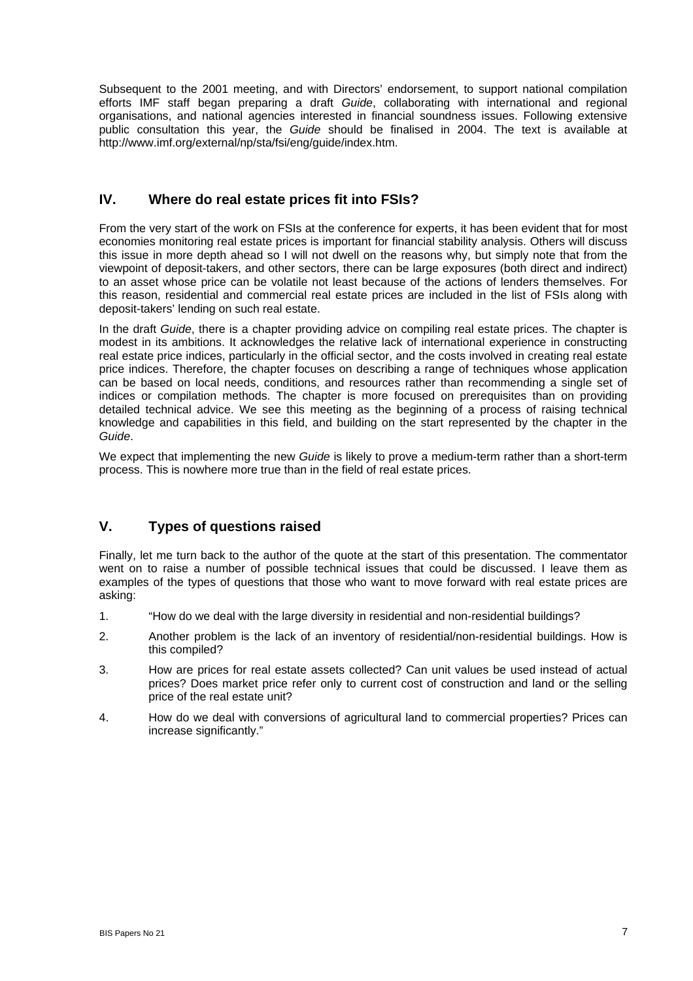Subsequent to the 2001 meeting, and with Directors' endorsement, to support national compilation efforts IMF staff began preparing a draft *Guide*, collaborating with international and regional organisations, and national agencies interested in financial soundness issues. Following extensive public consultation this year, the *Guide* should be finalised in 2004. The text is available at [http://www.imf.org/external/np/sta/fsi/eng/guide/index.htm.](http://www.imf.org/external/np/sta/fsi/eng/guide/index.htm)

#### **IV. Where do real estate prices fit into FSIs?**

From the very start of the work on FSIs at the conference for experts, it has been evident that for most economies monitoring real estate prices is important for financial stability analysis. Others will discuss this issue in more depth ahead so I will not dwell on the reasons why, but simply note that from the viewpoint of deposit-takers, and other sectors, there can be large exposures (both direct and indirect) to an asset whose price can be volatile not least because of the actions of lenders themselves. For this reason, residential and commercial real estate prices are included in the list of FSIs along with deposit-takers' lending on such real estate.

In the draft *Guide*, there is a chapter providing advice on compiling real estate prices. The chapter is modest in its ambitions. It acknowledges the relative lack of international experience in constructing real estate price indices, particularly in the official sector, and the costs involved in creating real estate price indices. Therefore, the chapter focuses on describing a range of techniques whose application can be based on local needs, conditions, and resources rather than recommending a single set of indices or compilation methods. The chapter is more focused on prerequisites than on providing detailed technical advice. We see this meeting as the beginning of a process of raising technical knowledge and capabilities in this field, and building on the start represented by the chapter in the *Guide*.

We expect that implementing the new *Guide* is likely to prove a medium-term rather than a short-term process. This is nowhere more true than in the field of real estate prices.

## **V. Types of questions raised**

Finally, let me turn back to the author of the quote at the start of this presentation. The commentator went on to raise a number of possible technical issues that could be discussed. I leave them as examples of the types of questions that those who want to move forward with real estate prices are asking:

- 1. "How do we deal with the large diversity in residential and non-residential buildings?
- 2. Another problem is the lack of an inventory of residential/non-residential buildings. How is this compiled?
- 3. How are prices for real estate assets collected? Can unit values be used instead of actual prices? Does market price refer only to current cost of construction and land or the selling price of the real estate unit?
- 4. How do we deal with conversions of agricultural land to commercial properties? Prices can increase significantly."